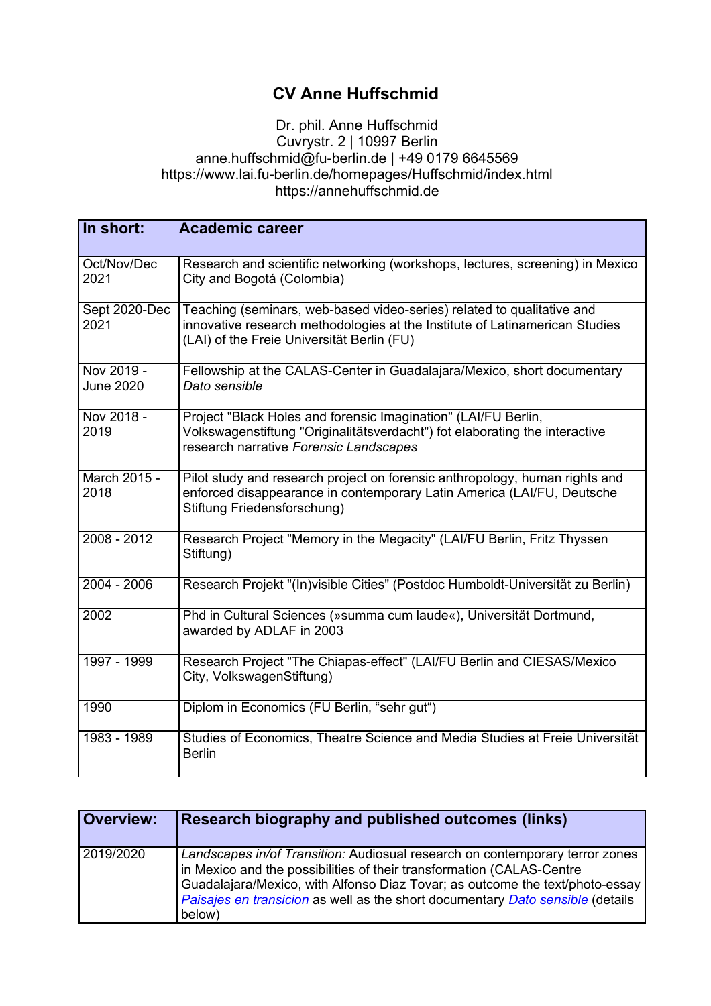## **CV Anne Huffschmid**

## Dr. phil. Anne Huffschmid Cuvrystr. 2 | 10997 Berlin anne.huffschmid@fu-berlin.de | +49 0179 6645569 https://www.lai.fu-berlin.de/homepages/Huffschmid/index.html https://annehuffschmid.de

| In short:                      | <b>Academic career</b>                                                                                                                                                                              |
|--------------------------------|-----------------------------------------------------------------------------------------------------------------------------------------------------------------------------------------------------|
| Oct/Nov/Dec<br>2021            | Research and scientific networking (workshops, lectures, screening) in Mexico<br>City and Bogotá (Colombia)                                                                                         |
| Sept 2020-Dec<br>2021          | Teaching (seminars, web-based video-series) related to qualitative and<br>innovative research methodologies at the Institute of Latinamerican Studies<br>(LAI) of the Freie Universität Berlin (FU) |
| Nov 2019 -<br><b>June 2020</b> | Fellowship at the CALAS-Center in Guadalajara/Mexico, short documentary<br>Dato sensible                                                                                                            |
| Nov 2018 -<br>2019             | Project "Black Holes and forensic Imagination" (LAI/FU Berlin,<br>Volkswagenstiftung "Originalitätsverdacht") fot elaborating the interactive<br>research narrative Forensic Landscapes             |
| March 2015 -<br>2018           | Pilot study and research project on forensic anthropology, human rights and<br>enforced disappearance in contemporary Latin America (LAI/FU, Deutsche<br>Stiftung Friedensforschung)                |
| $2008 - 2012$                  | Research Project "Memory in the Megacity" (LAI/FU Berlin, Fritz Thyssen<br>Stiftung)                                                                                                                |
| 2004 - 2006                    | Research Projekt "(In) visible Cities" (Postdoc Humboldt-Universität zu Berlin)                                                                                                                     |
| 2002                           | Phd in Cultural Sciences (»summa cum laude«), Universität Dortmund,<br>awarded by ADLAF in 2003                                                                                                     |
| 1997 - 1999                    | Research Project "The Chiapas-effect" (LAI/FU Berlin and CIESAS/Mexico<br>City, VolkswagenStiftung)                                                                                                 |
| 1990                           | Diplom in Economics (FU Berlin, "sehr gut")                                                                                                                                                         |
| 1983 - 1989                    | Studies of Economics, Theatre Science and Media Studies at Freie Universität<br><b>Berlin</b>                                                                                                       |

| <b>Overview:</b> | Research biography and published outcomes (links)                                                                                                                                                                                                                                                                                 |
|------------------|-----------------------------------------------------------------------------------------------------------------------------------------------------------------------------------------------------------------------------------------------------------------------------------------------------------------------------------|
| 2019/2020        | Landscapes in/of Transition: Audiosual research on contemporary terror zones<br>in Mexico and the possibilities of their transformation (CALAS-Centre<br>Guadalajara/Mexico, with Alfonso Diaz Tovar; as outcome the text/photo-essay<br>Paisajes en transicion as well as the short documentary Dato sensible (details<br>below) |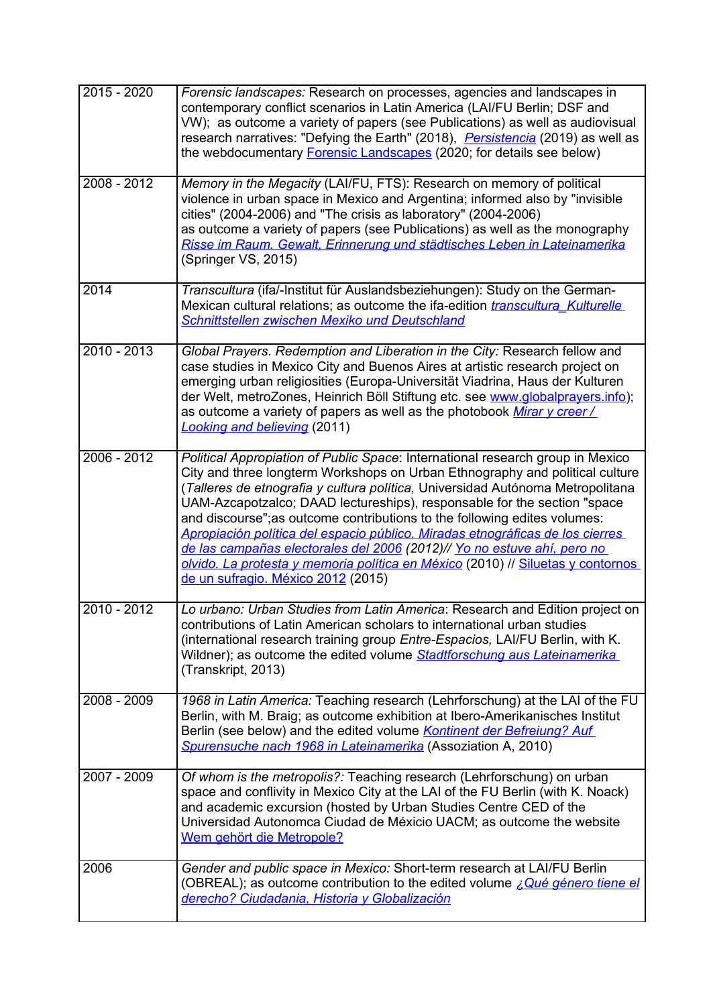| 2015 - 2020   | Forensic landscapes: Research on processes, agencies and landscapes in<br>contemporary conflict scenarios in Latin America (LAI/FU Berlin; DSF and<br>VW); as outcome a variety of papers (see Publications) as well as audiovisual<br>research narratives: "Defying the Earth" (2018), <i>Persistencia</i> (2019) as well as<br>the webdocumentary <b>Forensic Landscapes</b> (2020; for details see below)                                                                                                                                                                                                                                                                                   |
|---------------|------------------------------------------------------------------------------------------------------------------------------------------------------------------------------------------------------------------------------------------------------------------------------------------------------------------------------------------------------------------------------------------------------------------------------------------------------------------------------------------------------------------------------------------------------------------------------------------------------------------------------------------------------------------------------------------------|
| 2008 - 2012   | Memory in the Megacity (LAI/FU, FTS): Research on memory of political<br>violence in urban space in Mexico and Argentina; informed also by "invisible<br>cities" (2004-2006) and "The crisis as laboratory" (2004-2006)<br>as outcome a variety of papers (see Publications) as well as the monography<br>Risse im Raum. Gewalt, Erinnerung und städtisches Leben in Lateinamerika<br>(Springer VS, 2015)                                                                                                                                                                                                                                                                                      |
| 2014          | Transcultura (ifa/-Institut für Auslandsbeziehungen): Study on the German-<br>Mexican cultural relations; as outcome the ifa-edition <i>transcultura Kulturelle</i><br>Schnittstellen zwischen Mexiko und Deutschland                                                                                                                                                                                                                                                                                                                                                                                                                                                                          |
| $2010 - 2013$ | Global Prayers. Redemption and Liberation in the City: Research fellow and<br>case studies in Mexico City and Buenos Aires at artistic research project on<br>emerging urban religiosities (Europa-Universität Viadrina, Haus der Kulturen<br>der Welt, metroZones, Heinrich Böll Stiftung etc. see www.globalprayers.info);<br>as outcome a variety of papers as well as the photobook Mirar y creer/<br><b>Looking and believing (2011)</b>                                                                                                                                                                                                                                                  |
| $2006 - 2012$ | Political Appropiation of Public Space: International research group in Mexico<br>City and three longterm Workshops on Urban Ethnography and political culture<br>(Talleres de etnografia y cultura política, Universidad Autónoma Metropolitana<br>UAM-Azcapotzalco; DAAD lectureships), responsable for the section "space<br>and discourse"; as outcome contributions to the following edites volumes:<br>Apropiación política del espacio público. Miradas etnográficas de los cierres<br>de las campañas electorales del 2006 (2012)// Yo no estuve ahí, pero no<br>olvido. La protesta y memoria política en México (2010) // Siluetas y contornos<br>de un sufragio. México 2012 (2015) |
| $2010 - 2012$ | Lo urbano: Urban Studies from Latin America: Research and Edition project on<br>contributions of Latin American scholars to international urban studies<br>(international research training group Entre-Espacios, LAI/FU Berlin, with K.<br>Wildner); as outcome the edited volume Stadtforschung aus Lateinamerika<br>(Transkript, 2013)                                                                                                                                                                                                                                                                                                                                                      |
| 2008 - 2009   | 1968 in Latin America: Teaching research (Lehrforschung) at the LAI of the FU<br>Berlin, with M. Braig; as outcome exhibition at Ibero-Amerikanisches Institut<br>Berlin (see below) and the edited volume Kontinent der Befreiung? Auf<br>Spurensuche nach 1968 in Lateinamerika (Assoziation A, 2010)                                                                                                                                                                                                                                                                                                                                                                                        |
| 2007 - 2009   | Of whom is the metropolis?: Teaching research (Lehrforschung) on urban<br>space and conflivity in Mexico City at the LAI of the FU Berlin (with K. Noack)<br>and academic excursion (hosted by Urban Studies Centre CED of the<br>Universidad Autonomca Ciudad de Méxicio UACM; as outcome the website<br>Wem gehört die Metropole?                                                                                                                                                                                                                                                                                                                                                            |
| 2006          | Gender and public space in Mexico: Short-term research at LAI/FU Berlin<br>(OBREAL); as outcome contribution to the edited volume <i>iQué género tiene el</i><br>derecho? Ciudadania, Historia y Globalización                                                                                                                                                                                                                                                                                                                                                                                                                                                                                 |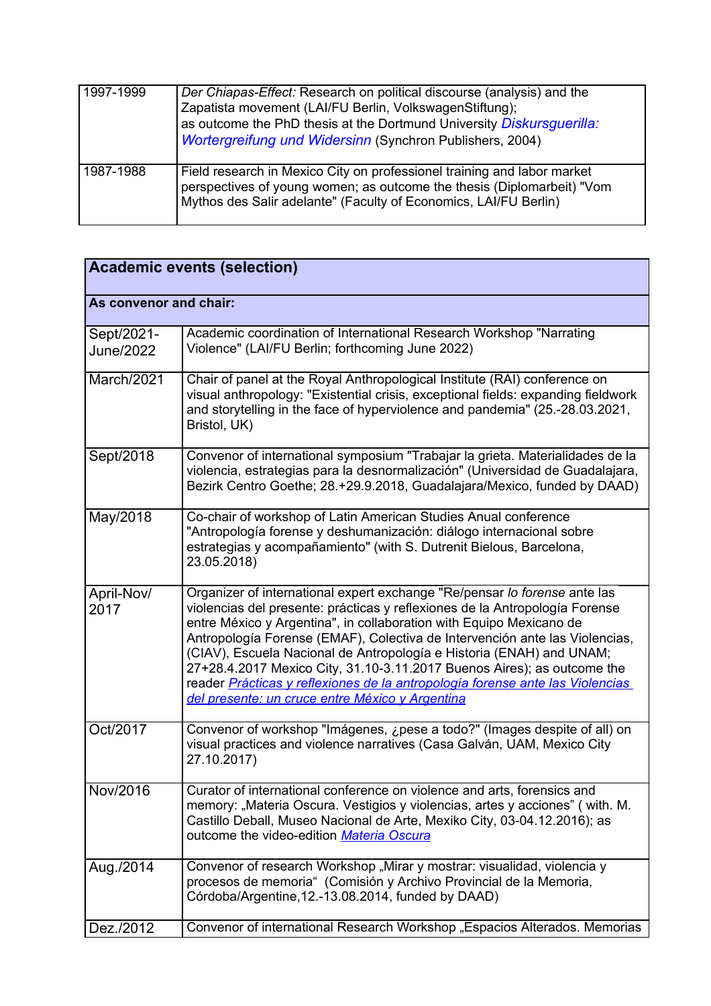| 1997-1999 | Der Chiapas-Effect: Research on political discourse (analysis) and the<br>Zapatista movement (LAI/FU Berlin, VolkswagenStiftung);<br>as outcome the PhD thesis at the Dortmund University Diskursquerilla:<br>Wortergreifung und Widersinn (Synchron Publishers, 2004) |
|-----------|------------------------------------------------------------------------------------------------------------------------------------------------------------------------------------------------------------------------------------------------------------------------|
| 1987-1988 | Field research in Mexico City on professionel training and labor market<br>perspectives of young women; as outcome the thesis (Diplomarbeit) "Vom<br>Mythos des Salir adelante" (Faculty of Economics, LAI/FU Berlin)                                                  |

| <b>Academic events (selection)</b> |                                                                                                                                                                                                                                                                                                                                                                                                                                                                                                                                                                                                       |
|------------------------------------|-------------------------------------------------------------------------------------------------------------------------------------------------------------------------------------------------------------------------------------------------------------------------------------------------------------------------------------------------------------------------------------------------------------------------------------------------------------------------------------------------------------------------------------------------------------------------------------------------------|
| As convenor and chair:             |                                                                                                                                                                                                                                                                                                                                                                                                                                                                                                                                                                                                       |
| Sept/2021-<br><b>June/2022</b>     | Academic coordination of International Research Workshop "Narrating<br>Violence" (LAI/FU Berlin; forthcoming June 2022)                                                                                                                                                                                                                                                                                                                                                                                                                                                                               |
| March/2021                         | Chair of panel at the Royal Anthropological Institute (RAI) conference on<br>visual anthropology: "Existential crisis, exceptional fields: expanding fieldwork<br>and storytelling in the face of hyperviolence and pandemia" (25.-28.03.2021,<br>Bristol, UK)                                                                                                                                                                                                                                                                                                                                        |
| Sept/2018                          | Convenor of international symposium "Trabajar la grieta. Materialidades de la<br>violencia, estrategias para la desnormalización" (Universidad de Guadalajara,<br>Bezirk Centro Goethe; 28.+29.9.2018, Guadalajara/Mexico, funded by DAAD)                                                                                                                                                                                                                                                                                                                                                            |
| May/2018                           | Co-chair of workshop of Latin American Studies Anual conference<br>"Antropología forense y deshumanización: diálogo internacional sobre<br>estrategias y acompañamiento" (with S. Dutrenit Bielous, Barcelona,<br>23.05.2018)                                                                                                                                                                                                                                                                                                                                                                         |
| April-Nov/<br>2017                 | Organizer of international expert exchange "Re/pensar lo forense ante las<br>violencias del presente: prácticas y reflexiones de la Antropología Forense<br>entre México y Argentina", in collaboration with Equipo Mexicano de<br>Antropología Forense (EMAF), Colectiva de Intervención ante las Violencias,<br>(CIAV), Escuela Nacional de Antropología e Historia (ENAH) and UNAM;<br>27+28.4.2017 Mexico City, 31.10-3.11.2017 Buenos Aires); as outcome the<br>reader Prácticas y reflexiones de la antropología forense ante las Violencias<br>del presente: un cruce entre México y Argentina |
| Oct/2017                           | Convenor of workshop "Imágenes, ¿pese a todo?" (Images despite of all) on<br>visual practices and violence narratives (Casa Galván, UAM, Mexico City<br>27.10.2017)                                                                                                                                                                                                                                                                                                                                                                                                                                   |
| Nov/2016                           | Curator of international conference on violence and arts, forensics and<br>memory: "Materia Oscura. Vestigios y violencias, artes y acciones" (with. M.<br>Castillo Deball, Museo Nacional de Arte, Mexiko City, 03-04.12.2016); as<br>outcome the video-edition Materia Oscura                                                                                                                                                                                                                                                                                                                       |
| Aug./2014                          | Convenor of research Workshop "Mirar y mostrar: visualidad, violencia y<br>procesos de memoria" (Comisión y Archivo Provincial de la Memoria,<br>Córdoba/Argentine, 12.-13.08.2014, funded by DAAD)                                                                                                                                                                                                                                                                                                                                                                                                   |
| Dez./2012                          | Convenor of international Research Workshop "Espacios Alterados. Memorias                                                                                                                                                                                                                                                                                                                                                                                                                                                                                                                             |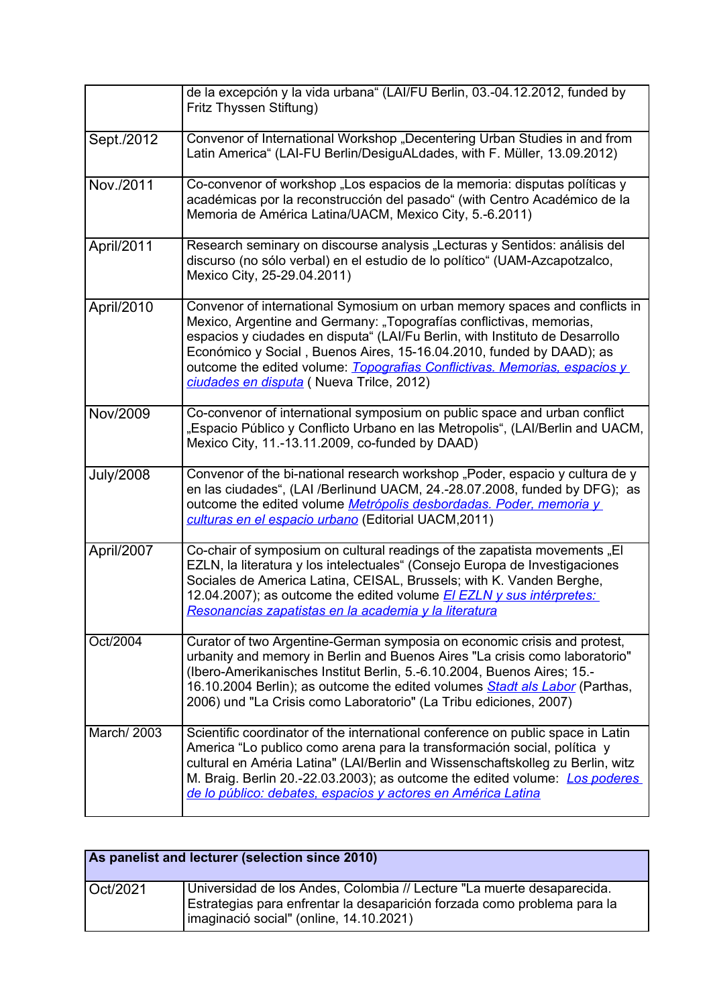|                  | de la excepción y la vida urbana" (LAI/FU Berlin, 03.-04.12.2012, funded by<br>Fritz Thyssen Stiftung)                                                                                                                                                                                                                                                                                                                             |
|------------------|------------------------------------------------------------------------------------------------------------------------------------------------------------------------------------------------------------------------------------------------------------------------------------------------------------------------------------------------------------------------------------------------------------------------------------|
| Sept./2012       | Convenor of International Workshop "Decentering Urban Studies in and from<br>Latin America" (LAI-FU Berlin/DesiguALdades, with F. Müller, 13.09.2012)                                                                                                                                                                                                                                                                              |
| Nov./2011        | Co-convenor of workshop "Los espacios de la memoria: disputas políticas y<br>académicas por la reconstrucción del pasado" (with Centro Académico de la<br>Memoria de América Latina/UACM, Mexico City, 5.-6.2011)                                                                                                                                                                                                                  |
| April/2011       | Research seminary on discourse analysis "Lecturas y Sentidos: análisis del<br>discurso (no sólo verbal) en el estudio de lo político" (UAM-Azcapotzalco,<br>Mexico City, 25-29.04.2011)                                                                                                                                                                                                                                            |
| April/2010       | Convenor of international Symosium on urban memory spaces and conflicts in<br>Mexico, Argentine and Germany: "Topografías conflictivas, memorias,<br>espacios y ciudades en disputa" (LAI/Fu Berlin, with Instituto de Desarrollo<br>Económico y Social, Buenos Aires, 15-16.04.2010, funded by DAAD); as<br>outcome the edited volume: Topografias Conflictivas. Memorias, espacios y<br>ciudades en disputa (Nueva Trilce, 2012) |
| Nov/2009         | Co-convenor of international symposium on public space and urban conflict<br>"Espacio Público y Conflicto Urbano en las Metropolis", (LAI/Berlin and UACM,<br>Mexico City, 11.-13.11.2009, co-funded by DAAD)                                                                                                                                                                                                                      |
| <b>July/2008</b> | Convenor of the bi-national research workshop "Poder, espacio y cultura de y<br>en las ciudades", (LAI /Berlinund UACM, 24.-28.07.2008, funded by DFG); as<br>outcome the edited volume Metrópolis desbordadas. Poder, memoria y<br>culturas en el espacio urbano (Editorial UACM, 2011)                                                                                                                                           |
| April/2007       | Co-chair of symposium on cultural readings of the zapatista movements "El<br>EZLN, la literatura y los intelectuales" (Consejo Europa de Investigaciones<br>Sociales de America Latina, CEISAL, Brussels; with K. Vanden Berghe,<br>12.04.2007); as outcome the edited volume El EZLN y sus intérpretes:<br>Resonancias zapatistas en la academia y la literatura                                                                  |
| Oct/2004         | Curator of two Argentine-German symposia on economic crisis and protest,<br>urbanity and memory in Berlin and Buenos Aires "La crisis como laboratorio"<br>(Ibero-Amerikanisches Institut Berlin, 5.-6.10.2004, Buenos Aires; 15.-<br>16.10.2004 Berlin); as outcome the edited volumes Stadt als Labor (Parthas,<br>2006) und "La Crisis como Laboratorio" (La Tribu ediciones, 2007)                                             |
| March/ 2003      | Scientific coordinator of the international conference on public space in Latin<br>America "Lo publico como arena para la transformación social, política y<br>cultural en Améria Latina" (LAI/Berlin and Wissenschaftskolleg zu Berlin, witz<br>M. Braig. Berlin 20.-22.03.2003); as outcome the edited volume: <i>Los poderes</i><br>de lo público: debates, espacios y actores en América Latina                                |

| As panelist and lecturer (selection since 2010) |                                                                                                                                                                                               |
|-------------------------------------------------|-----------------------------------------------------------------------------------------------------------------------------------------------------------------------------------------------|
| Oct/2021                                        | Universidad de los Andes, Colombia // Lecture "La muerte desaparecida.<br>Estrategias para enfrentar la desaparición forzada como problema para la<br>imaginació social" (online, 14.10.2021) |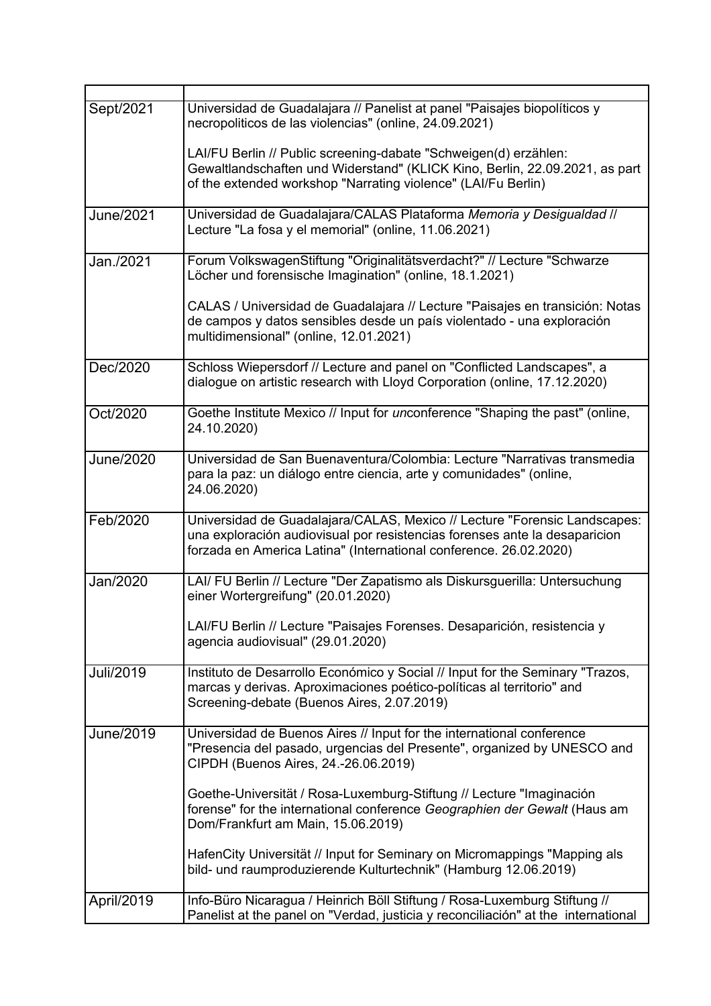| Sept/2021        | Universidad de Guadalajara // Panelist at panel "Paisajes biopolíticos y<br>necropoliticos de las violencias" (online, 24.09.2021)                                                                                           |
|------------------|------------------------------------------------------------------------------------------------------------------------------------------------------------------------------------------------------------------------------|
|                  | LAI/FU Berlin // Public screening-dabate "Schweigen(d) erzählen:<br>Gewaltlandschaften und Widerstand" (KLICK Kino, Berlin, 22.09.2021, as part<br>of the extended workshop "Narrating violence" (LAI/Fu Berlin)             |
| <b>June/2021</b> | Universidad de Guadalajara/CALAS Plataforma Memoria y Desigualdad //<br>Lecture "La fosa y el memorial" (online, 11.06.2021)                                                                                                 |
| Jan./2021        | Forum VolkswagenStiftung "Originalitätsverdacht?" // Lecture "Schwarze<br>Löcher und forensische Imagination" (online, 18.1.2021)                                                                                            |
|                  | CALAS / Universidad de Guadalajara // Lecture "Paisajes en transición: Notas<br>de campos y datos sensibles desde un país violentado - una exploración<br>multidimensional" (online, 12.01.2021)                             |
| Dec/2020         | Schloss Wiepersdorf // Lecture and panel on "Conflicted Landscapes", a<br>dialogue on artistic research with Lloyd Corporation (online, 17.12.2020)                                                                          |
| Oct/2020         | Goethe Institute Mexico // Input for unconference "Shaping the past" (online,<br>24.10.2020)                                                                                                                                 |
| <b>June/2020</b> | Universidad de San Buenaventura/Colombia: Lecture "Narrativas transmedia<br>para la paz: un diálogo entre ciencia, arte y comunidades" (online,<br>24.06.2020)                                                               |
| Feb/2020         | Universidad de Guadalajara/CALAS, Mexico // Lecture "Forensic Landscapes:<br>una exploración audiovisual por resistencias forenses ante la desaparicion<br>forzada en America Latina" (International conference. 26.02.2020) |
| Jan/2020         | LAI/ FU Berlin // Lecture "Der Zapatismo als Diskursguerilla: Untersuchung<br>einer Wortergreifung" (20.01.2020)                                                                                                             |
|                  | LAI/FU Berlin // Lecture "Paisajes Forenses. Desaparición, resistencia y<br>agencia audiovisual" (29.01.2020)                                                                                                                |
| Juli/2019        | Instituto de Desarrollo Económico y Social // Input for the Seminary "Trazos,<br>marcas y derivas. Aproximaciones poético-políticas al territorio" and<br>Screening-debate (Buenos Aires, 2.07.2019)                         |
| June/2019        | Universidad de Buenos Aires // Input for the international conference<br>"Presencia del pasado, urgencias del Presente", organized by UNESCO and<br>CIPDH (Buenos Aires, 24.-26.06.2019)                                     |
|                  | Goethe-Universität / Rosa-Luxemburg-Stiftung // Lecture "Imaginación<br>forense" for the international conference Geographien der Gewalt (Haus am<br>Dom/Frankfurt am Main, 15.06.2019)                                      |
|                  | HafenCity Universität // Input for Seminary on Micromappings "Mapping als<br>bild- und raumproduzierende Kulturtechnik" (Hamburg 12.06.2019)                                                                                 |
| April/2019       | Info-Büro Nicaragua / Heinrich Böll Stiftung / Rosa-Luxemburg Stiftung //<br>Panelist at the panel on "Verdad, justicia y reconciliación" at the international                                                               |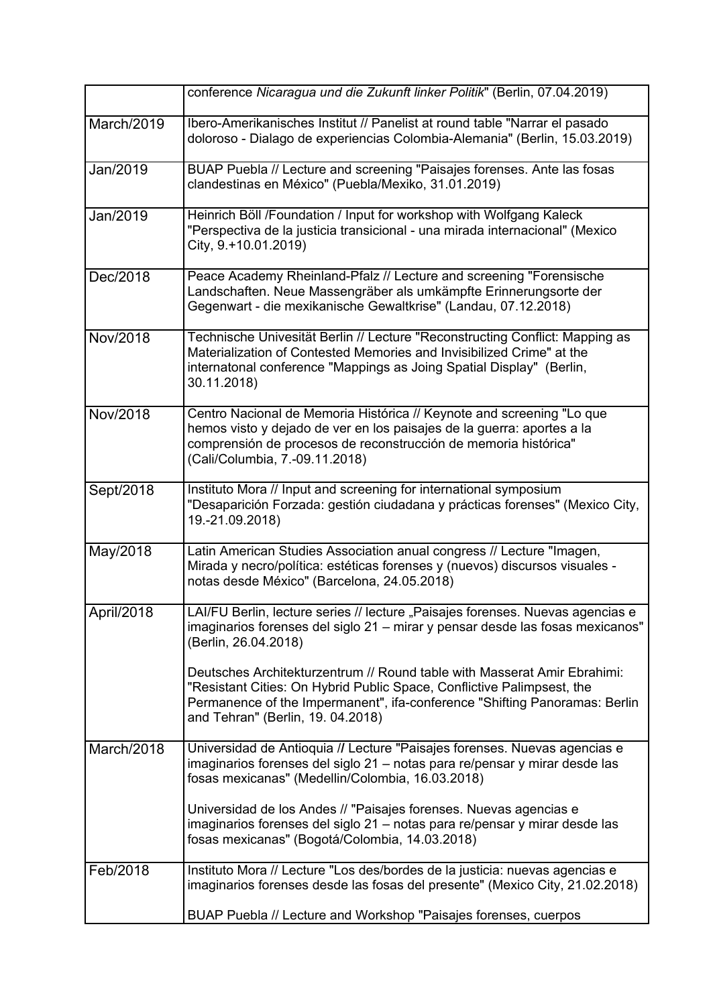|            | conference Nicaragua und die Zukunft linker Politik" (Berlin, 07.04.2019)                                                                                                                                                                                             |
|------------|-----------------------------------------------------------------------------------------------------------------------------------------------------------------------------------------------------------------------------------------------------------------------|
| March/2019 | Ibero-Amerikanisches Institut // Panelist at round table "Narrar el pasado<br>doloroso - Dialago de experiencias Colombia-Alemania" (Berlin, 15.03.2019)                                                                                                              |
| Jan/2019   | BUAP Puebla // Lecture and screening "Paisajes forenses. Ante las fosas<br>clandestinas en México" (Puebla/Mexiko, 31.01.2019)                                                                                                                                        |
| Jan/2019   | Heinrich Böll /Foundation / Input for workshop with Wolfgang Kaleck<br>"Perspectiva de la justicia transicional - una mirada internacional" (Mexico<br>City, 9.+10.01.2019)                                                                                           |
| Dec/2018   | Peace Academy Rheinland-Pfalz // Lecture and screening "Forensische<br>Landschaften. Neue Massengräber als umkämpfte Erinnerungsorte der<br>Gegenwart - die mexikanische Gewaltkrise" (Landau, 07.12.2018)                                                            |
| Nov/2018   | Technische Univesität Berlin // Lecture "Reconstructing Conflict: Mapping as<br>Materialization of Contested Memories and Invisibilized Crime" at the<br>internatonal conference "Mappings as Joing Spatial Display" (Berlin,<br>30.11.2018)                          |
| Nov/2018   | Centro Nacional de Memoria Histórica // Keynote and screening "Lo que<br>hemos visto y dejado de ver en los paisajes de la guerra: aportes a la<br>comprensión de procesos de reconstrucción de memoria histórica"<br>(Cali/Columbia, 7.-09.11.2018)                  |
| Sept/2018  | Instituto Mora // Input and screening for international symposium<br>"Desaparición Forzada: gestión ciudadana y prácticas forenses" (Mexico City,<br>19.-21.09.2018)                                                                                                  |
| May/2018   | Latin American Studies Association anual congress // Lecture "Imagen,<br>Mirada y necro/política: estéticas forenses y (nuevos) discursos visuales -<br>notas desde México" (Barcelona, 24.05.2018)                                                                   |
| April/2018 | LAI/FU Berlin, lecture series // lecture "Paisajes forenses. Nuevas agencias e<br>imaginarios forenses del siglo 21 – mirar y pensar desde las fosas mexicanos"<br>(Berlin, 26.04.2018)                                                                               |
|            | Deutsches Architekturzentrum // Round table with Masserat Amir Ebrahimi:<br>"Resistant Cities: On Hybrid Public Space, Conflictive Palimpsest, the<br>Permanence of the Impermanent", ifa-conference "Shifting Panoramas: Berlin<br>and Tehran" (Berlin, 19. 04.2018) |
| March/2018 | Universidad de Antioquia // Lecture "Paisajes forenses. Nuevas agencias e<br>imaginarios forenses del siglo 21 – notas para re/pensar y mirar desde las<br>fosas mexicanas" (Medellin/Colombia, 16.03.2018)                                                           |
|            | Universidad de los Andes // "Paisajes forenses. Nuevas agencias e<br>imaginarios forenses del siglo 21 - notas para re/pensar y mirar desde las<br>fosas mexicanas" (Bogotá/Colombia, 14.03.2018)                                                                     |
| Feb/2018   | Instituto Mora // Lecture "Los des/bordes de la justicia: nuevas agencias e<br>imaginarios forenses desde las fosas del presente" (Mexico City, 21.02.2018)                                                                                                           |
|            | BUAP Puebla // Lecture and Workshop "Paisajes forenses, cuerpos                                                                                                                                                                                                       |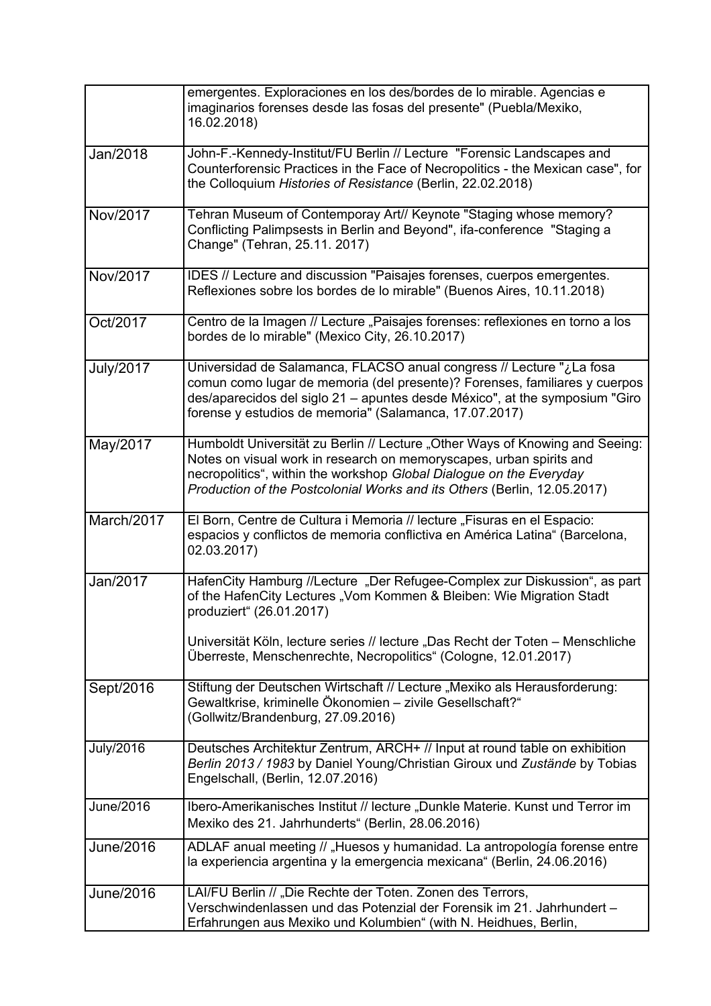|                  | emergentes. Exploraciones en los des/bordes de lo mirable. Agencias e<br>imaginarios forenses desde las fosas del presente" (Puebla/Mexiko,<br>16.02.2018)                                                                                                                                             |
|------------------|--------------------------------------------------------------------------------------------------------------------------------------------------------------------------------------------------------------------------------------------------------------------------------------------------------|
| Jan/2018         | John-F.-Kennedy-Institut/FU Berlin // Lecture "Forensic Landscapes and<br>Counterforensic Practices in the Face of Necropolitics - the Mexican case", for<br>the Colloquium Histories of Resistance (Berlin, 22.02.2018)                                                                               |
| Nov/2017         | Tehran Museum of Contemporay Art// Keynote "Staging whose memory?<br>Conflicting Palimpsests in Berlin and Beyond", ifa-conference "Staging a<br>Change" (Tehran, 25.11. 2017)                                                                                                                         |
| Nov/2017         | IDES // Lecture and discussion "Paisajes forenses, cuerpos emergentes.<br>Reflexiones sobre los bordes de lo mirable" (Buenos Aires, 10.11.2018)                                                                                                                                                       |
| Oct/2017         | Centro de la Imagen // Lecture "Paisajes forenses: reflexiones en torno a los<br>bordes de lo mirable" (Mexico City, 26.10.2017)                                                                                                                                                                       |
| <b>July/2017</b> | Universidad de Salamanca, FLACSO anual congress // Lecture "¿La fosa<br>comun como lugar de memoria (del presente)? Forenses, familiares y cuerpos<br>des/aparecidos del siglo 21 – apuntes desde México", at the symposium "Giro<br>forense y estudios de memoria" (Salamanca, 17.07.2017)            |
| May/2017         | Humboldt Universität zu Berlin // Lecture "Other Ways of Knowing and Seeing:<br>Notes on visual work in research on memoryscapes, urban spirits and<br>necropolitics", within the workshop Global Dialogue on the Everyday<br>Production of the Postcolonial Works and its Others (Berlin, 12.05.2017) |
| March/2017       | El Born, Centre de Cultura i Memoria // lecture "Fisuras en el Espacio:<br>espacios y conflictos de memoria conflictiva en América Latina" (Barcelona,<br>02.03.2017)                                                                                                                                  |
| Jan/2017         | HafenCity Hamburg //Lecture "Der Refugee-Complex zur Diskussion", as part<br>of the HafenCity Lectures "Vom Kommen & Bleiben: Wie Migration Stadt<br>produziert" (26.01.2017)                                                                                                                          |
|                  | Universität Köln, lecture series // lecture "Das Recht der Toten – Menschliche<br>Überreste, Menschenrechte, Necropolitics" (Cologne, 12.01.2017)                                                                                                                                                      |
| Sept/2016        | Stiftung der Deutschen Wirtschaft // Lecture "Mexiko als Herausforderung:<br>Gewaltkrise, kriminelle Ökonomien - zivile Gesellschaft?"<br>(Gollwitz/Brandenburg, 27.09.2016)                                                                                                                           |
| <b>July/2016</b> | Deutsches Architektur Zentrum, ARCH+ // Input at round table on exhibition<br>Berlin 2013 / 1983 by Daniel Young/Christian Giroux und Zustände by Tobias<br>Engelschall, (Berlin, 12.07.2016)                                                                                                          |
| June/2016        | Ibero-Amerikanisches Institut // lecture "Dunkle Materie. Kunst und Terror im<br>Mexiko des 21. Jahrhunderts" (Berlin, 28.06.2016)                                                                                                                                                                     |
| <b>June/2016</b> | ADLAF anual meeting // "Huesos y humanidad. La antropología forense entre<br>la experiencia argentina y la emergencia mexicana" (Berlin, 24.06.2016)                                                                                                                                                   |
| June/2016        | LAI/FU Berlin // "Die Rechte der Toten. Zonen des Terrors,<br>Verschwindenlassen und das Potenzial der Forensik im 21. Jahrhundert -<br>Erfahrungen aus Mexiko und Kolumbien" (with N. Heidhues, Berlin,                                                                                               |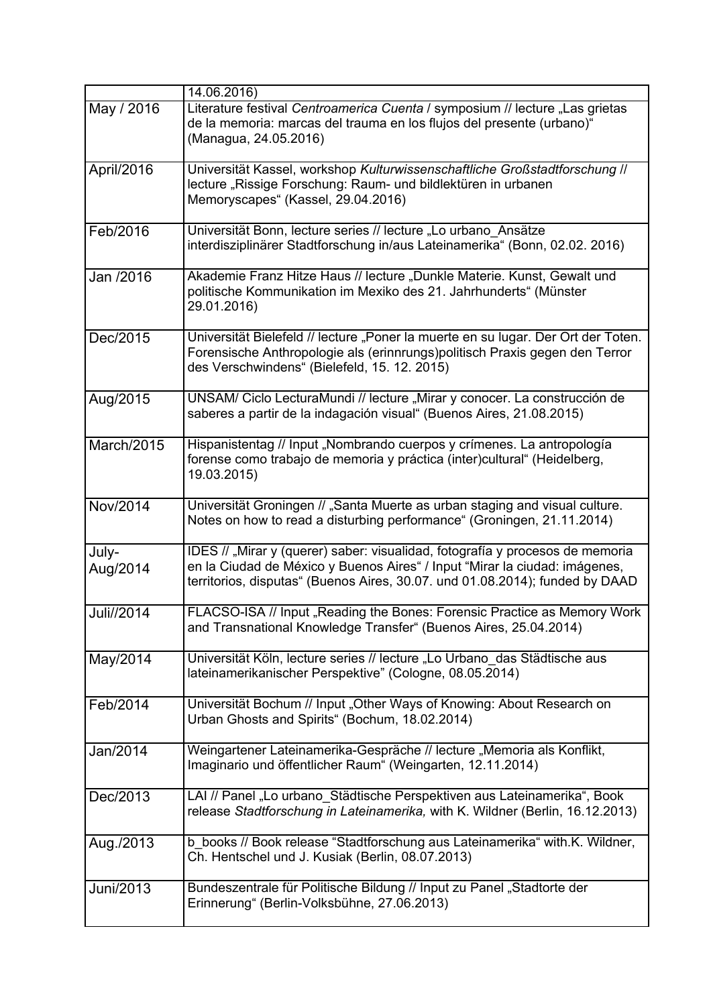|                   | 14.06.2016)                                                                                                                                                                                                                                 |
|-------------------|---------------------------------------------------------------------------------------------------------------------------------------------------------------------------------------------------------------------------------------------|
| May / 2016        | Literature festival Centroamerica Cuenta / symposium // lecture "Las grietas<br>de la memoria: marcas del trauma en los flujos del presente (urbano)"<br>(Managua, 24.05.2016)                                                              |
| April/2016        | Universität Kassel, workshop Kulturwissenschaftliche Großstadtforschung //<br>lecture "Rissige Forschung: Raum- und bildlektüren in urbanen<br>Memoryscapes" (Kassel, 29.04.2016)                                                           |
| Feb/2016          | Universität Bonn, lecture series // lecture "Lo urbano_Ansätze<br>interdisziplinärer Stadtforschung in/aus Lateinamerika" (Bonn, 02.02. 2016)                                                                                               |
| Jan /2016         | Akademie Franz Hitze Haus // lecture "Dunkle Materie. Kunst, Gewalt und<br>politische Kommunikation im Mexiko des 21. Jahrhunderts" (Münster<br>29.01.2016)                                                                                 |
| Dec/2015          | Universität Bielefeld // lecture "Poner la muerte en su lugar. Der Ort der Toten.<br>Forensische Anthropologie als (erinnrungs)politisch Praxis gegen den Terror<br>des Verschwindens" (Bielefeld, 15. 12. 2015)                            |
| Aug/2015          | UNSAM/ Ciclo LecturaMundi // lecture "Mirar y conocer. La construcción de<br>saberes a partir de la indagación visual" (Buenos Aires, 21.08.2015)                                                                                           |
| March/2015        | Hispanistentag // Input "Nombrando cuerpos y crímenes. La antropología<br>forense como trabajo de memoria y práctica (inter)cultural" (Heidelberg,<br>19.03.2015)                                                                           |
| Nov/2014          | Universität Groningen // "Santa Muerte as urban staging and visual culture.<br>Notes on how to read a disturbing performance" (Groningen, 21.11.2014)                                                                                       |
| July-<br>Aug/2014 | IDES // "Mirar y (querer) saber: visualidad, fotografía y procesos de memoria<br>en la Ciudad de México y Buenos Aires" / Input "Mirar la ciudad: imágenes,<br>territorios, disputas" (Buenos Aires, 30.07. und 01.08.2014); funded by DAAD |
| Juli//2014        | FLACSO-ISA // Input "Reading the Bones: Forensic Practice as Memory Work<br>and Transnational Knowledge Transfer" (Buenos Aires, 25.04.2014)                                                                                                |
| May/2014          | Universität Köln, lecture series // lecture "Lo Urbano_das Städtische aus<br>lateinamerikanischer Perspektive" (Cologne, 08.05.2014)                                                                                                        |
| Feb/2014          | Universität Bochum // Input "Other Ways of Knowing: About Research on<br>Urban Ghosts and Spirits" (Bochum, 18.02.2014)                                                                                                                     |
| Jan/2014          | Weingartener Lateinamerika-Gespräche // lecture "Memoria als Konflikt,<br>Imaginario und öffentlicher Raum" (Weingarten, 12.11.2014)                                                                                                        |
| Dec/2013          | LAI // Panel "Lo urbano_Städtische Perspektiven aus Lateinamerika", Book<br>release Stadtforschung in Lateinamerika, with K. Wildner (Berlin, 16.12.2013)                                                                                   |
| Aug./2013         | b_books // Book release "Stadtforschung aus Lateinamerika" with.K. Wildner,<br>Ch. Hentschel und J. Kusiak (Berlin, 08.07.2013)                                                                                                             |
| Juni/2013         | Bundeszentrale für Politische Bildung // Input zu Panel "Stadtorte der<br>Erinnerung" (Berlin-Volksbühne, 27.06.2013)                                                                                                                       |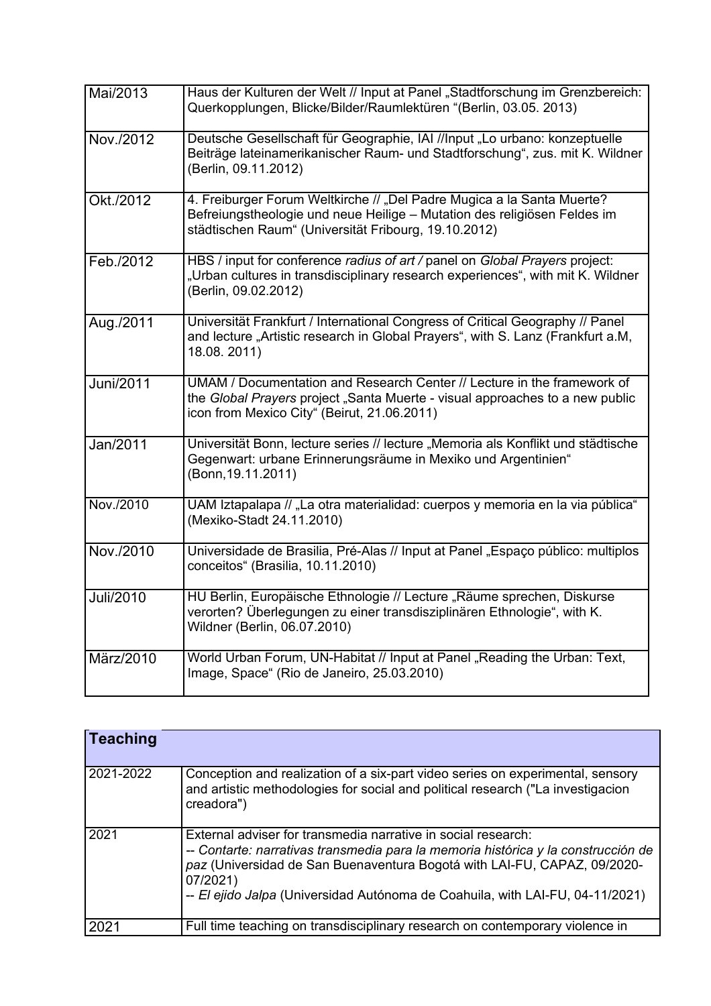| Mai/2013         | Haus der Kulturen der Welt // Input at Panel "Stadtforschung im Grenzbereich:<br>Querkopplungen, Blicke/Bilder/Raumlektüren "(Berlin, 03.05. 2013)                                                         |
|------------------|------------------------------------------------------------------------------------------------------------------------------------------------------------------------------------------------------------|
| Nov./2012        | Deutsche Gesellschaft für Geographie, IAI //Input "Lo urbano: konzeptuelle<br>Beiträge lateinamerikanischer Raum- und Stadtforschung", zus. mit K. Wildner<br>(Berlin, 09.11.2012)                         |
| Okt./2012        | 4. Freiburger Forum Weltkirche // "Del Padre Mugica a la Santa Muerte?<br>Befreiungstheologie und neue Heilige - Mutation des religiösen Feldes im<br>städtischen Raum" (Universität Fribourg, 19.10.2012) |
| Feb./2012        | HBS / input for conference radius of art / panel on Global Prayers project:<br>"Urban cultures in transdisciplinary research experiences", with mit K. Wildner<br>(Berlin, 09.02.2012)                     |
| Aug./2011        | Universität Frankfurt / International Congress of Critical Geography // Panel<br>and lecture "Artistic research in Global Prayers", with S. Lanz (Frankfurt a.M,<br>18.08.2011)                            |
| <b>Juni/2011</b> | UMAM / Documentation and Research Center // Lecture in the framework of<br>the Global Prayers project "Santa Muerte - visual approaches to a new public<br>icon from Mexico City" (Beirut, 21.06.2011)     |
| Jan/2011         | Universität Bonn, lecture series // lecture "Memoria als Konflikt und städtische<br>Gegenwart: urbane Erinnerungsräume in Mexiko und Argentinien"<br>(Bonn, 19.11.2011)                                    |
| Nov./2010        | UAM Iztapalapa // "La otra materialidad: cuerpos y memoria en la via pública"<br>(Mexiko-Stadt 24.11.2010)                                                                                                 |
| Nov./2010        | Universidade de Brasilia, Pré-Alas // Input at Panel "Espaço público: multiplos<br>conceitos" (Brasilia, 10.11.2010)                                                                                       |
| <b>Juli/2010</b> | HU Berlin, Europäische Ethnologie // Lecture "Räume sprechen, Diskurse<br>verorten? Überlegungen zu einer transdisziplinären Ethnologie", with K.<br>Wildner (Berlin, 06.07.2010)                          |
| März/2010        | World Urban Forum, UN-Habitat // Input at Panel "Reading the Urban: Text,<br>Image, Space" (Rio de Janeiro, 25.03.2010)                                                                                    |

| <b>Teaching</b> |                                                                                                                                                                                                                                                                                                                             |
|-----------------|-----------------------------------------------------------------------------------------------------------------------------------------------------------------------------------------------------------------------------------------------------------------------------------------------------------------------------|
| 2021-2022       | Conception and realization of a six-part video series on experimental, sensory<br>and artistic methodologies for social and political research ("La investigacion<br>creadora")                                                                                                                                             |
| 2021            | External adviser for transmedia narrative in social research:<br>-- Contarte: narrativas transmedia para la memoria histórica y la construcción de<br>paz (Universidad de San Buenaventura Bogotá with LAI-FU, CAPAZ, 09/2020-<br>07/2021)<br>-- El ejido Jalpa (Universidad Autónoma de Coahuila, with LAI-FU, 04-11/2021) |
| 2021            | Full time teaching on transdisciplinary research on contemporary violence in                                                                                                                                                                                                                                                |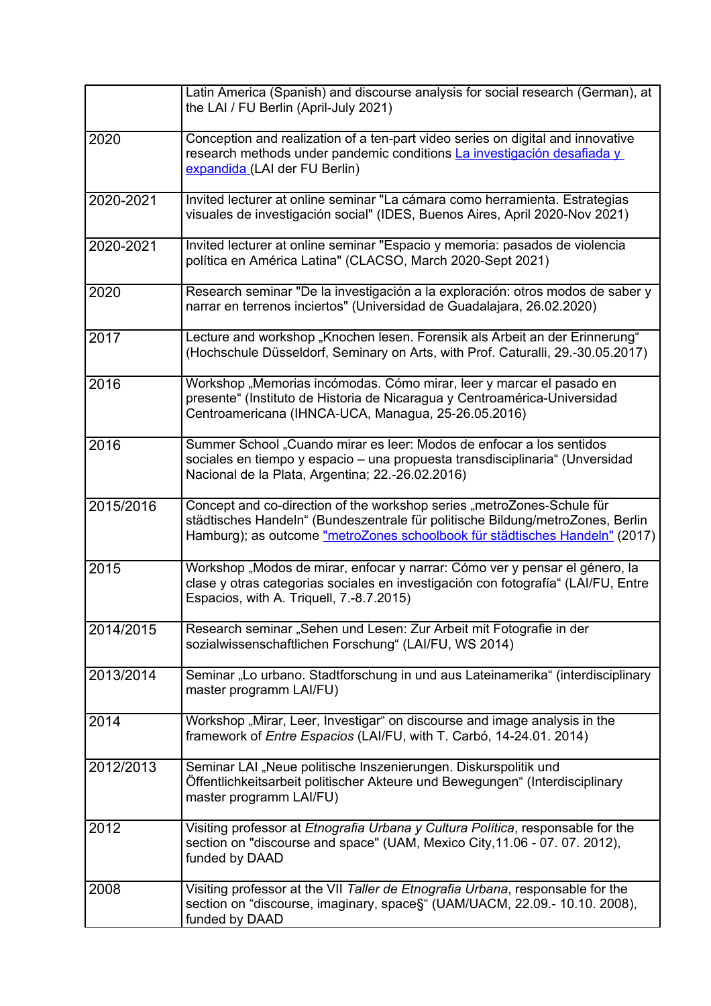|           | Latin America (Spanish) and discourse analysis for social research (German), at<br>the LAI / FU Berlin (April-July 2021)                                                                                                                |
|-----------|-----------------------------------------------------------------------------------------------------------------------------------------------------------------------------------------------------------------------------------------|
| 2020      | Conception and realization of a ten-part video series on digital and innovative<br>research methods under pandemic conditions La investigación desafiada y<br>expandida (LAI der FU Berlin)                                             |
| 2020-2021 | Invited lecturer at online seminar "La cámara como herramienta. Estrategias<br>visuales de investigación social" (IDES, Buenos Aires, April 2020-Nov 2021)                                                                              |
| 2020-2021 | Invited lecturer at online seminar "Espacio y memoria: pasados de violencia<br>política en América Latina" (CLACSO, March 2020-Sept 2021)                                                                                               |
| 2020      | Research seminar "De la investigación a la exploración: otros modos de saber y<br>narrar en terrenos inciertos" (Universidad de Guadalajara, 26.02.2020)                                                                                |
| 2017      | Lecture and workshop "Knochen lesen. Forensik als Arbeit an der Erinnerung"<br>(Hochschule Düsseldorf, Seminary on Arts, with Prof. Caturalli, 29.-30.05.2017)                                                                          |
| 2016      | Workshop "Memorias incómodas. Cómo mirar, leer y marcar el pasado en<br>presente" (Instituto de Historia de Nicaragua y Centroamérica-Universidad<br>Centroamericana (IHNCA-UCA, Managua, 25-26.05.2016)                                |
| 2016      | Summer School "Cuando mirar es leer: Modos de enfocar a los sentidos<br>sociales en tiempo y espacio - una propuesta transdisciplinaria" (Unversidad<br>Nacional de la Plata, Argentina; 22.-26.02.2016)                                |
| 2015/2016 | Concept and co-direction of the workshop series "metroZones-Schule für<br>städtisches Handeln" (Bundeszentrale für politische Bildung/metroZones, Berlin<br>Hamburg); as outcome "metroZones schoolbook für städtisches Handeln" (2017) |
| 2015      | Workshop "Modos de mirar, enfocar y narrar: Cómo ver y pensar el género, la<br>clase y otras categorias sociales en investigación con fotografía" (LAI/FU, Entre<br>Espacios, with A. Triquell, 7.-8.7.2015)                            |
| 2014/2015 | Research seminar "Sehen und Lesen: Zur Arbeit mit Fotografie in der<br>sozialwissenschaftlichen Forschung" (LAI/FU, WS 2014)                                                                                                            |
| 2013/2014 | Seminar "Lo urbano. Stadtforschung in und aus Lateinamerika" (interdisciplinary<br>master programm LAI/FU)                                                                                                                              |
| 2014      | Workshop "Mirar, Leer, Investigar" on discourse and image analysis in the<br>framework of <i>Entre Espacios</i> (LAI/FU, with T. Carbó, 14-24.01. 2014)                                                                                 |
| 2012/2013 | Seminar LAI "Neue politische Inszenierungen. Diskurspolitik und<br>Öffentlichkeitsarbeit politischer Akteure und Bewegungen" (Interdisciplinary<br>master programm LAI/FU)                                                              |
| 2012      | Visiting professor at Etnografia Urbana y Cultura Política, responsable for the<br>section on "discourse and space" (UAM, Mexico City, 11.06 - 07. 07. 2012),<br>funded by DAAD                                                         |
| 2008      | Visiting professor at the VII Taller de Etnografia Urbana, responsable for the<br>section on "discourse, imaginary, space§" (UAM/UACM, 22.09.- 10.10. 2008),<br>funded by DAAD                                                          |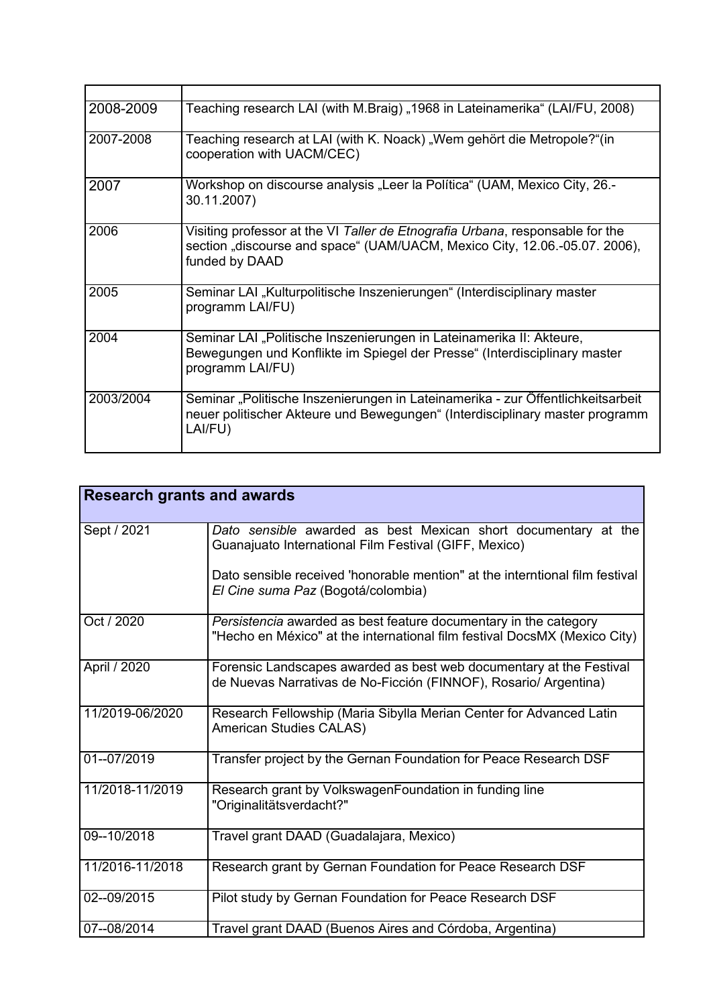| 2008-2009 | Teaching research LAI (with M.Braig) "1968 in Lateinamerika" (LAI/FU, 2008)                                                                                                   |
|-----------|-------------------------------------------------------------------------------------------------------------------------------------------------------------------------------|
| 2007-2008 | Teaching research at LAI (with K. Noack) "Wem gehört die Metropole?" (in<br>cooperation with UACM/CEC)                                                                        |
| 2007      | Workshop on discourse analysis "Leer la Política" (UAM, Mexico City, 26.-<br>30.11.2007)                                                                                      |
| 2006      | Visiting professor at the VI Taller de Etnografia Urbana, responsable for the<br>section "discourse and space" (UAM/UACM, Mexico City, 12.06.-05.07. 2006),<br>funded by DAAD |
| 2005      | Seminar LAI "Kulturpolitische Inszenierungen" (Interdisciplinary master<br>programm LAI/FU)                                                                                   |
| 2004      | Seminar LAI "Politische Inszenierungen in Lateinamerika II: Akteure,<br>Bewegungen und Konflikte im Spiegel der Presse" (Interdisciplinary master<br>programm LAI/FU)         |
| 2003/2004 | Seminar "Politische Inszenierungen in Lateinamerika - zur Öffentlichkeitsarbeit<br>neuer politischer Akteure und Bewegungen" (Interdisciplinary master programm<br>LAI/FU)    |

| <b>Research grants and awards</b> |                                                                                                                                               |
|-----------------------------------|-----------------------------------------------------------------------------------------------------------------------------------------------|
| Sept / 2021                       | Dato sensible awarded as best Mexican short documentary at the<br>Guanajuato International Film Festival (GIFF, Mexico)                       |
|                                   | Dato sensible received 'honorable mention" at the interntional film festival<br>El Cine suma Paz (Bogotá/colombia)                            |
| Oct / 2020                        | Persistencia awarded as best feature documentary in the category<br>"Hecho en México" at the international film festival DocsMX (Mexico City) |
| April / 2020                      | Forensic Landscapes awarded as best web documentary at the Festival<br>de Nuevas Narrativas de No-Ficción (FINNOF), Rosario/ Argentina)       |
| 11/2019-06/2020                   | Research Fellowship (Maria Sibylla Merian Center for Advanced Latin<br>American Studies CALAS)                                                |
| 01--07/2019                       | Transfer project by the Gernan Foundation for Peace Research DSF                                                                              |
| 11/2018-11/2019                   | Research grant by VolkswagenFoundation in funding line<br>"Originalitätsverdacht?"                                                            |
| 09--10/2018                       | Travel grant DAAD (Guadalajara, Mexico)                                                                                                       |
| 11/2016-11/2018                   | Research grant by Gernan Foundation for Peace Research DSF                                                                                    |
| 02--09/2015                       | Pilot study by Gernan Foundation for Peace Research DSF                                                                                       |
| 07--08/2014                       | Travel grant DAAD (Buenos Aires and Córdoba, Argentina)                                                                                       |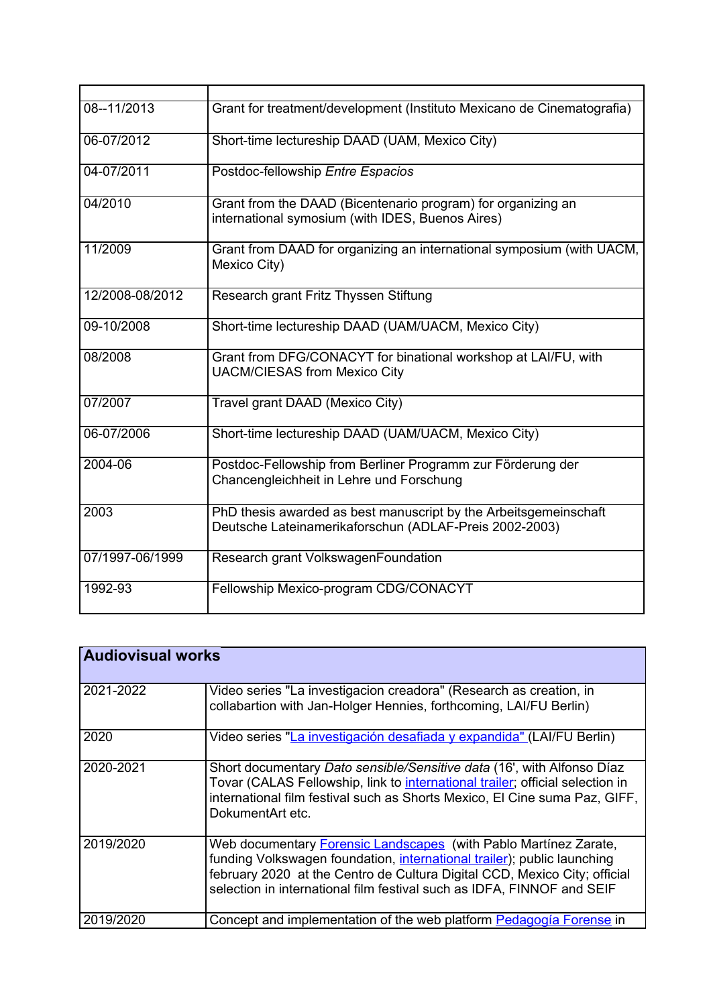| 08--11/2013     | Grant for treatment/development (Instituto Mexicano de Cinematografia)                                                     |
|-----------------|----------------------------------------------------------------------------------------------------------------------------|
| 06-07/2012      | Short-time lectureship DAAD (UAM, Mexico City)                                                                             |
| 04-07/2011      | Postdoc-fellowship Entre Espacios                                                                                          |
| 04/2010         | Grant from the DAAD (Bicentenario program) for organizing an<br>international symosium (with IDES, Buenos Aires)           |
| 11/2009         | Grant from DAAD for organizing an international symposium (with UACM,<br>Mexico City)                                      |
| 12/2008-08/2012 | Research grant Fritz Thyssen Stiftung                                                                                      |
| 09-10/2008      | Short-time lectureship DAAD (UAM/UACM, Mexico City)                                                                        |
| 08/2008         | Grant from DFG/CONACYT for binational workshop at LAI/FU, with<br><b>UACM/CIESAS from Mexico City</b>                      |
| 07/2007         | Travel grant DAAD (Mexico City)                                                                                            |
| 06-07/2006      | Short-time lectureship DAAD (UAM/UACM, Mexico City)                                                                        |
| 2004-06         | Postdoc-Fellowship from Berliner Programm zur Förderung der<br>Chancengleichheit in Lehre und Forschung                    |
| 2003            | PhD thesis awarded as best manuscript by the Arbeitsgemeinschaft<br>Deutsche Lateinamerikaforschun (ADLAF-Preis 2002-2003) |
| 07/1997-06/1999 | Research grant VolkswagenFoundation                                                                                        |
| 1992-93         | Fellowship Mexico-program CDG/CONACYT                                                                                      |

| <b>Audiovisual works</b> |                                                                                                                                                                                                                                                                                                           |
|--------------------------|-----------------------------------------------------------------------------------------------------------------------------------------------------------------------------------------------------------------------------------------------------------------------------------------------------------|
| 2021-2022                | Video series "La investigacion creadora" (Research as creation, in<br>collabartion with Jan-Holger Hennies, forthcoming, LAI/FU Berlin)                                                                                                                                                                   |
| 2020                     | Video series "La investigación desafiada y expandida" (LAI/FU Berlin)                                                                                                                                                                                                                                     |
| 2020-2021                | Short documentary Dato sensible/Sensitive data (16', with Alfonso Díaz<br>Tovar (CALAS Fellowship, link to international trailer; official selection in<br>international film festival such as Shorts Mexico, El Cine suma Paz, GIFF,<br>DokumentArt etc.                                                 |
| 2019/2020                | Web documentary <b>Forensic Landscapes</b> (with Pablo Martinez Zarate,<br>funding Volkswagen foundation, international trailer); public launching<br>february 2020 at the Centro de Cultura Digital CCD, Mexico City; official<br>selection in international film festival such as IDFA, FINNOF and SEIF |
| 2019/2020                | Concept and implementation of the web platform Pedagogía Forense in                                                                                                                                                                                                                                       |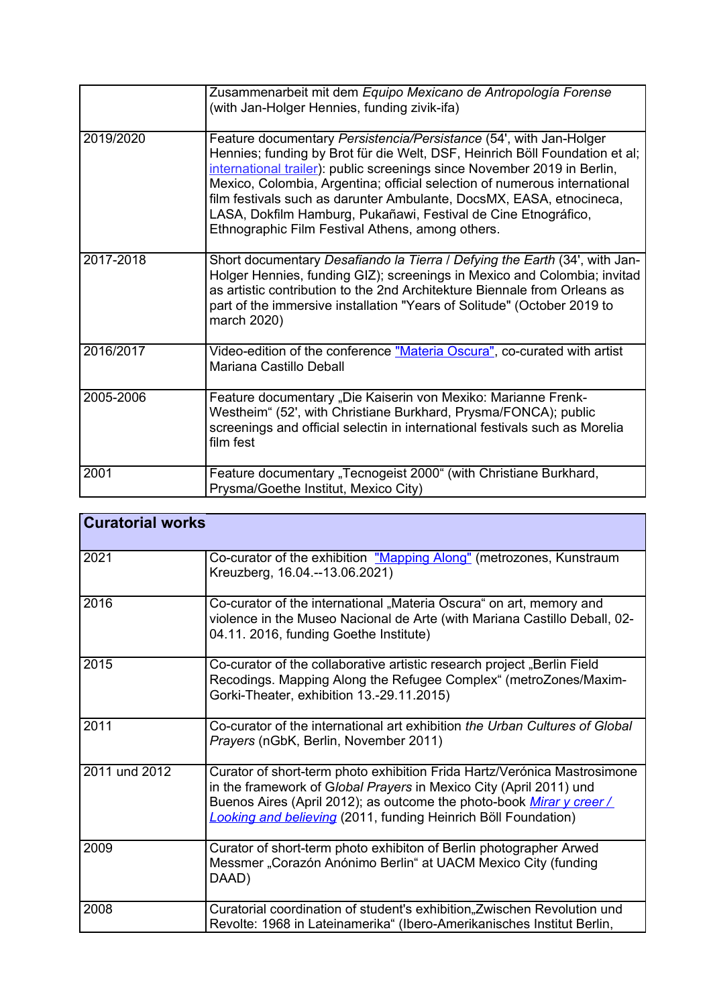|           | Zusammenarbeit mit dem Equipo Mexicano de Antropología Forense<br>(with Jan-Holger Hennies, funding zivik-ifa)                                                                                                                                                                                                                                                                                                                                                                                           |
|-----------|----------------------------------------------------------------------------------------------------------------------------------------------------------------------------------------------------------------------------------------------------------------------------------------------------------------------------------------------------------------------------------------------------------------------------------------------------------------------------------------------------------|
| 2019/2020 | Feature documentary Persistencia/Persistance (54', with Jan-Holger<br>Hennies; funding by Brot für die Welt, DSF, Heinrich Böll Foundation et al;<br>international trailer): public screenings since November 2019 in Berlin,<br>Mexico, Colombia, Argentina; official selection of numerous international<br>film festivals such as darunter Ambulante, DocsMX, EASA, etnocineca,<br>LASA, Dokfilm Hamburg, Pukañawi, Festival de Cine Etnográfico,<br>Ethnographic Film Festival Athens, among others. |
| 2017-2018 | Short documentary Desafiando la Tierra / Defying the Earth (34', with Jan-<br>Holger Hennies, funding GIZ); screenings in Mexico and Colombia; invitad<br>as artistic contribution to the 2nd Architekture Biennale from Orleans as<br>part of the immersive installation "Years of Solitude" (October 2019 to<br>march 2020)                                                                                                                                                                            |
| 2016/2017 | Video-edition of the conference "Materia Oscura", co-curated with artist<br>Mariana Castillo Deball                                                                                                                                                                                                                                                                                                                                                                                                      |
| 2005-2006 | Feature documentary "Die Kaiserin von Mexiko: Marianne Frenk-<br>Westheim" (52', with Christiane Burkhard, Prysma/FONCA); public<br>screenings and official selectin in international festivals such as Morelia<br>film fest                                                                                                                                                                                                                                                                             |
| 2001      | Feature documentary "Tecnogeist 2000" (with Christiane Burkhard,<br>Prysma/Goethe Institut, Mexico City)                                                                                                                                                                                                                                                                                                                                                                                                 |

| <b>Curatorial works</b> |                                                                                                                                                                                                                                                                                                |
|-------------------------|------------------------------------------------------------------------------------------------------------------------------------------------------------------------------------------------------------------------------------------------------------------------------------------------|
| 2021                    | Co-curator of the exhibition "Mapping Along" (metrozones, Kunstraum<br>Kreuzberg, 16.04.--13.06.2021)                                                                                                                                                                                          |
| 2016                    | Co-curator of the international "Materia Oscura" on art, memory and<br>violence in the Museo Nacional de Arte (with Mariana Castillo Deball, 02-<br>04.11. 2016, funding Goethe Institute)                                                                                                     |
| 2015                    | Co-curator of the collaborative artistic research project "Berlin Field<br>Recodings. Mapping Along the Refugee Complex" (metroZones/Maxim-<br>Gorki-Theater, exhibition 13.-29.11.2015)                                                                                                       |
| 2011                    | Co-curator of the international art exhibition the Urban Cultures of Global<br>Prayers (nGbK, Berlin, November 2011)                                                                                                                                                                           |
| 2011 und 2012           | Curator of short-term photo exhibition Frida Hartz/Verónica Mastrosimone<br>in the framework of Global Prayers in Mexico City (April 2011) und<br>Buenos Aires (April 2012); as outcome the photo-book Mirar y creer/<br><b>Looking and believing</b> (2011, funding Heinrich Böll Foundation) |
| 2009                    | Curator of short-term photo exhibiton of Berlin photographer Arwed<br>Messmer "Corazón Anónimo Berlin" at UACM Mexico City (funding<br>DAAD)                                                                                                                                                   |
| 2008                    | Curatorial coordination of student's exhibition, Zwischen Revolution und<br>Revolte: 1968 in Lateinamerika" (Ibero-Amerikanisches Institut Berlin,                                                                                                                                             |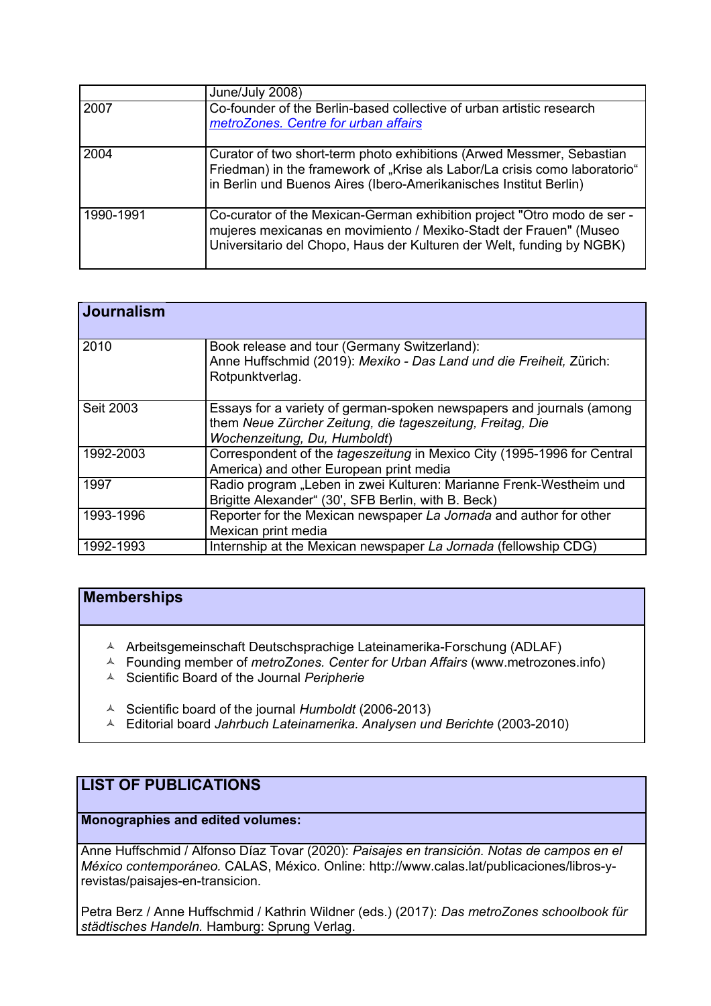|           | June/July 2008)                                                                                                                                                                                                          |
|-----------|--------------------------------------------------------------------------------------------------------------------------------------------------------------------------------------------------------------------------|
| 2007      | Co-founder of the Berlin-based collective of urban artistic research<br>metroZones. Centre for urban affairs                                                                                                             |
| 2004      | Curator of two short-term photo exhibitions (Arwed Messmer, Sebastian<br>Friedman) in the framework of "Krise als Labor/La crisis como laboratorio"<br>in Berlin und Buenos Aires (Ibero-Amerikanisches Institut Berlin) |
| 1990-1991 | Co-curator of the Mexican-German exhibition project "Otro modo de ser -<br>mujeres mexicanas en movimiento / Mexiko-Stadt der Frauen" (Museo<br>Universitario del Chopo, Haus der Kulturen der Welt, funding by NGBK)    |

| <b>Journalism</b> |                                                                                                                                                                   |
|-------------------|-------------------------------------------------------------------------------------------------------------------------------------------------------------------|
| 2010              | Book release and tour (Germany Switzerland):<br>Anne Huffschmid (2019): Mexiko - Das Land und die Freiheit, Zürich:<br>Rotpunktverlag.                            |
| Seit 2003         | Essays for a variety of german-spoken newspapers and journals (among<br>them Neue Zürcher Zeitung, die tageszeitung, Freitag, Die<br>Wochenzeitung, Du, Humboldt) |
| 1992-2003         | Correspondent of the tageszeitung in Mexico City (1995-1996 for Central<br>America) and other European print media                                                |
| 1997              | Radio program "Leben in zwei Kulturen: Marianne Frenk-Westheim und<br>Brigitte Alexander" (30', SFB Berlin, with B. Beck)                                         |
| 1993-1996         | Reporter for the Mexican newspaper La Jornada and author for other<br>Mexican print media                                                                         |
| 1992-1993         | Internship at the Mexican newspaper La Jornada (fellowship CDG)                                                                                                   |

## **Memberships**

- Arbeitsgemeinschaft Deutschsprachige Lateinamerika-Forschung (ADLAF)
- Founding member of *metroZones. Center for Urban Affairs* (www.metrozones.info)
- Scientific Board of the Journal *Peripherie*
- Scientific board of the journal *Humboldt* (2006-2013)
- Editorial board *Jahrbuch Lateinamerika. Analysen und Berichte* (2003-2010)

## **LIST OF PUBLICATIONS**

**Monographies and edited volumes:**

Anne Huffschmid / Alfonso Díaz Tovar (2020): *Paisajes en transición. Notas de campos en el México contemporáneo.* CALAS, México. Online: http://www.calas.lat/publicaciones/libros-yrevistas/paisajes-en-transicion.

Petra Berz / Anne Huffschmid / Kathrin Wildner (eds.) (2017): *Das metroZones schoolbook für städtisches Handeln.* Hamburg: Sprung Verlag.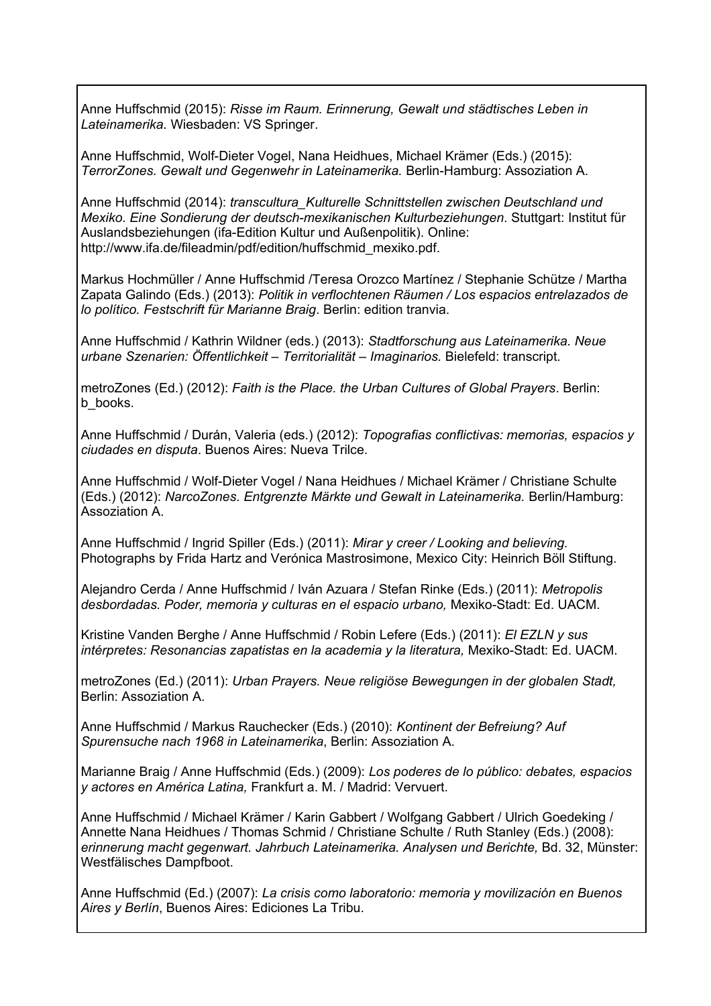Anne Huffschmid (2015): *Risse im Raum. Erinnerung, Gewalt und städtisches Leben in Lateinamerika.* Wiesbaden: VS Springer.

Anne Huffschmid, Wolf-Dieter Vogel, Nana Heidhues, Michael Krämer (Eds.) (2015): *TerrorZones. Gewalt und Gegenwehr in Lateinamerika.* Berlin-Hamburg: Assoziation A.

Anne Huffschmid (2014): *transcultura\_Kulturelle Schnittstellen zwischen Deutschland und Mexiko. Eine Sondierung der deutsch-mexikanischen Kulturbeziehungen*. Stuttgart: Institut für Auslandsbeziehungen (ifa-Edition Kultur und Außenpolitik). Online: http://www.ifa.de/fileadmin/pdf/edition/huffschmid\_mexiko.pdf.

Markus Hochmüller / Anne Huffschmid /Teresa Orozco Martínez / Stephanie Schütze / Martha Zapata Galindo (Eds.) (2013): *Politik in verflochtenen Räumen / Los espacios entrelazados de lo político. Festschrift für Marianne Braig*. Berlin: edition tranvia.

Anne Huffschmid / Kathrin Wildner (eds.) (2013): *Stadtforschung aus Lateinamerika. Neue urbane Szenarien: Öffentlichkeit – Territorialität – Imaginarios.* Bielefeld: transcript.

metroZones (Ed.) (2012): *Faith is the Place. the Urban Cultures of Global Prayers*. Berlin: b\_books.

Anne Huffschmid / Durán, Valeria (eds.) (2012): *Topografias conflictivas: memorias, espacios y ciudades en disputa*. Buenos Aires: Nueva Trilce.

Anne Huffschmid / Wolf-Dieter Vogel / Nana Heidhues / Michael Krämer / Christiane Schulte (Eds.) (2012): *NarcoZones. Entgrenzte Märkte und Gewalt in Lateinamerika.* Berlin/Hamburg: Assoziation A.

Anne Huffschmid / Ingrid Spiller (Eds.) (2011): *Mirar y creer / Looking and believing.*  Photographs by Frida Hartz and Verónica Mastrosimone, Mexico City: Heinrich Böll Stiftung.

Alejandro Cerda / Anne Huffschmid / Iván Azuara / Stefan Rinke (Eds.) (2011): *Metropolis desbordadas. Poder, memoria y culturas en el espacio urbano,* Mexiko-Stadt: Ed. UACM.

Kristine Vanden Berghe / Anne Huffschmid / Robin Lefere (Eds.) (2011): *El EZLN y sus intérpretes: Resonancias zapatistas en la academia y la literatura,* Mexiko-Stadt: Ed. UACM.

metroZones (Ed.) (2011): *Urban Prayers. Neue religiöse Bewegungen in der globalen Stadt,*  Berlin: Assoziation A.

Anne Huffschmid / Markus Rauchecker (Eds.) (2010): *Kontinent der Befreiung? Auf Spurensuche nach 1968 in Lateinamerika*, Berlin: Assoziation A.

Marianne Braig / Anne Huffschmid (Eds.) (2009): *Los poderes de lo público: debates, espacios y actores en América Latina,* Frankfurt a. M. / Madrid: Vervuert.

Anne Huffschmid / Michael Krämer / Karin Gabbert / Wolfgang Gabbert / Ulrich Goedeking / Annette Nana Heidhues / Thomas Schmid / Christiane Schulte / Ruth Stanley (Eds.) (2008): *erinnerung macht gegenwart. Jahrbuch Lateinamerika. Analysen und Berichte,* Bd. 32, Münster: Westfälisches Dampfboot.

Anne Huffschmid (Ed.) (2007): *La crisis como laboratorio: memoria y movilización en Buenos Aires y Berlín*, Buenos Aires: Ediciones La Tribu.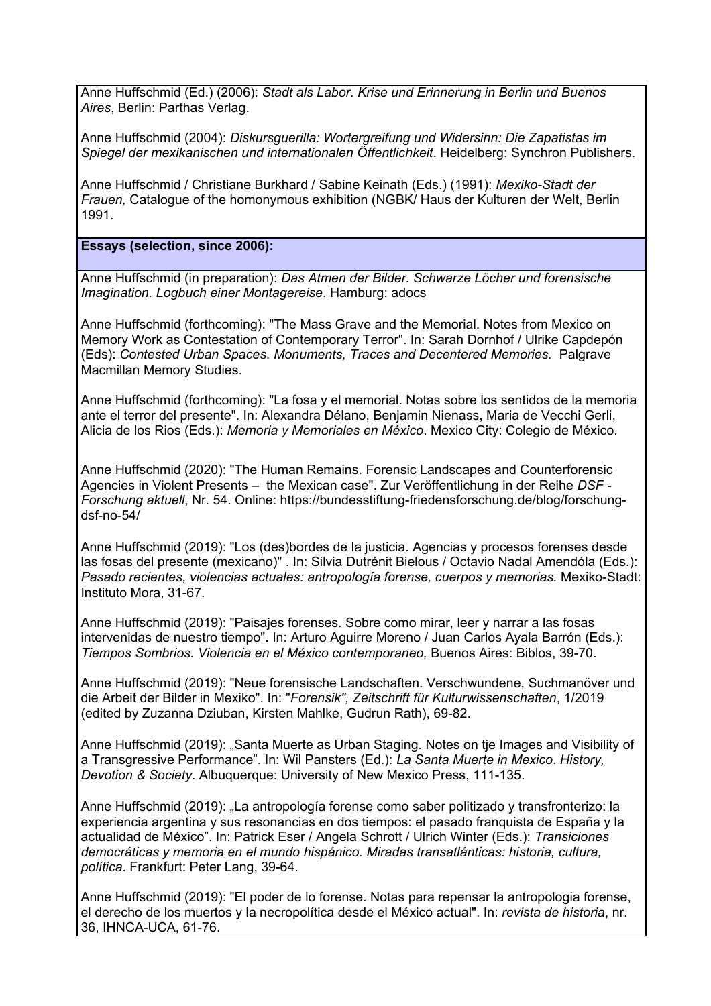Anne Huffschmid (Ed.) (2006): *Stadt als Labor. Krise und Erinnerung in Berlin und Buenos Aires*, Berlin: Parthas Verlag.

Anne Huffschmid (2004): *Diskursguerilla: Wortergreifung und Widersinn: Die Zapatistas im Spiegel der mexikanischen und internationalen Öffentlichkeit*. Heidelberg: Synchron Publishers.

Anne Huffschmid / Christiane Burkhard / Sabine Keinath (Eds.) (1991): *Mexiko-Stadt der Frauen,* Catalogue of the homonymous exhibition (NGBK/ Haus der Kulturen der Welt, Berlin 1991.

**Essays (selection, since 2006):**

Anne Huffschmid (in preparation): *Das Atmen der Bilder. Schwarze Löcher und forensische Imagination. Logbuch einer Montagereise*. Hamburg: adocs

Anne Huffschmid (forthcoming): "The Mass Grave and the Memorial. Notes from Mexico on Memory Work as Contestation of Contemporary Terror". In: Sarah Dornhof / Ulrike Capdepón (Eds): *Contested Urban Spaces. Monuments, Traces and Decentered Memories.* Palgrave Macmillan Memory Studies.

Anne Huffschmid (forthcoming): "La fosa y el memorial. Notas sobre los sentidos de la memoria ante el terror del presente". In: Alexandra Délano, Benjamin Nienass, Maria de Vecchi Gerli, Alicia de los Rios (Eds.): *Memoria y Memoriales en México*. Mexico City: Colegio de México.

Anne Huffschmid (2020): "The Human Remains. Forensic Landscapes and Counterforensic Agencies in Violent Presents – the Mexican case". Zur Veröffentlichung in der Reihe *DSF - Forschung aktuell*, Nr. 54. Online: https://bundesstiftung-friedensforschung.de/blog/forschungdsf-no-54/

Anne Huffschmid (2019): "Los (des)bordes de la justicia. Agencias y procesos forenses desde las fosas del presente (mexicano)" . In: Silvia Dutrénit Bielous / Octavio Nadal Amendóla (Eds.): *Pasado recientes, violencias actuales: antropología forense, cuerpos y memorias.* Mexiko-Stadt: Instituto Mora, 31-67.

Anne Huffschmid (2019): "Paisajes forenses. Sobre como mirar, leer y narrar a las fosas intervenidas de nuestro tiempo". In: Arturo Aguirre Moreno / Juan Carlos Ayala Barrón (Eds.): *Tiempos Sombrios. Violencia en el México contemporaneo,* Buenos Aires: Biblos, 39-70.

Anne Huffschmid (2019): "Neue forensische Landschaften. Verschwundene, Suchmanöver und die Arbeit der Bilder in Mexiko". In: "*Forensik", Zeitschrift für Kulturwissenschaften*, 1/2019 (edited by Zuzanna Dziuban, Kirsten Mahlke, Gudrun Rath), 69-82.

Anne Huffschmid (2019): "Santa Muerte as Urban Staging. Notes on tje Images and Visibility of a Transgressive Performance". In: Wil Pansters (Ed.): *La Santa Muerte in Mexico*. *History, Devotion & Society*. Albuquerque: University of New Mexico Press, 111-135.

Anne Huffschmid (2019): "La antropología forense como saber politizado y transfronterizo: la experiencia argentina y sus resonancias en dos tiempos: el pasado franquista de España y la actualidad de México". In: Patrick Eser / Angela Schrott / Ulrich Winter (Eds.): *Transiciones democráticas y memoria en el mundo hispánico. Miradas transatlánticas: historia, cultura, política*. Frankfurt: Peter Lang, 39-64.

Anne Huffschmid (2019): "El poder de lo forense. Notas para repensar la antropologia forense, el derecho de los muertos y la necropolítica desde el México actual". In: *revista de historia*, nr. 36, IHNCA-UCA, 61-76.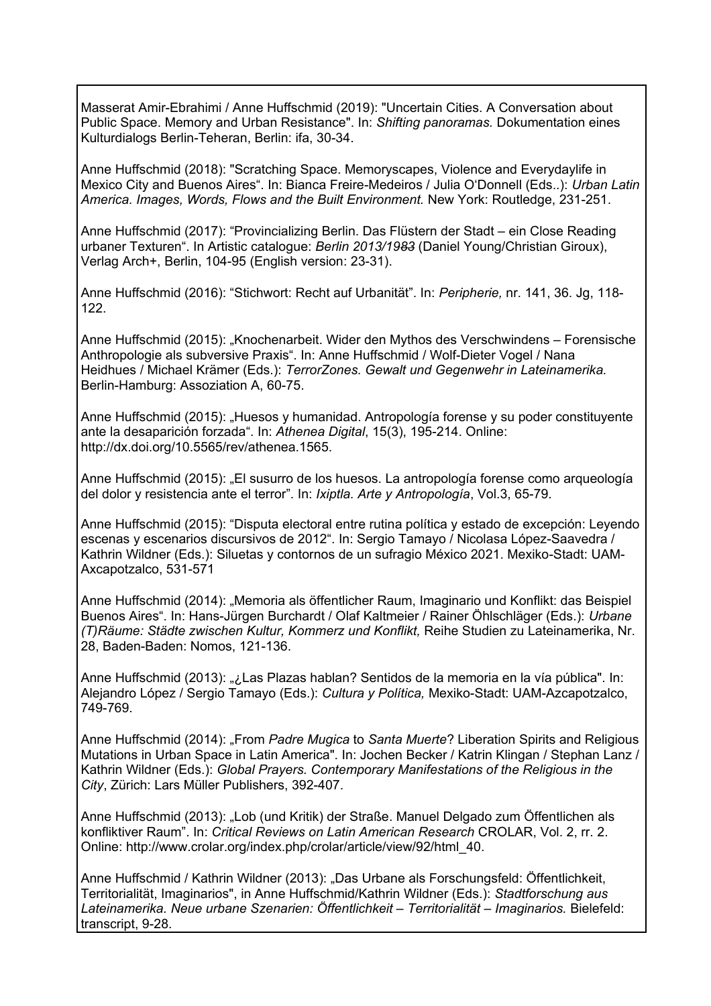Masserat Amir-Ebrahimi / Anne Huffschmid (2019): "Uncertain Cities. A Conversation about Public Space. Memory and Urban Resistance". In: *Shifting panoramas.* Dokumentation eines Kulturdialogs Berlin-Teheran, Berlin: ifa, 30-34.

Anne Huffschmid (2018): "Scratching Space. Memoryscapes, Violence and Everydaylife in Mexico City and Buenos Aires". In: Bianca Freire-Medeiros / Julia O'Donnell (Eds..): *Urban Latin America. Images, Words, Flows and the Built Environment.* New York: Routledge, 231-251.

Anne Huffschmid (2017): "Provincializing Berlin. Das Flüstern der Stadt – ein Close Reading urbaner Texturen". In Artistic catalogue: *Berlin 2013/1983* (Daniel Young/Christian Giroux), Verlag Arch+, Berlin, 104-95 (English version: 23-31).

Anne Huffschmid (2016): "Stichwort: Recht auf Urbanität". In: *Peripherie,* nr. 141, 36. Jg, 118- 122.

Anne Huffschmid (2015): "Knochenarbeit. Wider den Mythos des Verschwindens – Forensische Anthropologie als subversive Praxis". In: Anne Huffschmid / Wolf-Dieter Vogel / Nana Heidhues / Michael Krämer (Eds.): *TerrorZones. Gewalt und Gegenwehr in Lateinamerika.*  Berlin-Hamburg: Assoziation A, 60-75.

Anne Huffschmid (2015): "Huesos y humanidad. Antropología forense y su poder constituyente ante la desaparición forzada". In: *Athenea Digital*, 15(3), 195-214. Online: http://dx.doi.org/10.5565/rev/athenea.1565.

Anne Huffschmid (2015): "El susurro de los huesos. La antropología forense como arqueología del dolor y resistencia ante el terror". In: *Ixiptla. Arte y Antropología*, Vol.3, 65-79.

Anne Huffschmid (2015): "Disputa electoral entre rutina política y estado de excepción: Leyendo escenas y escenarios discursivos de 2012". In: Sergio Tamayo / Nicolasa López-Saavedra / Kathrin Wildner (Eds.): Siluetas y contornos de un sufragio México 2021. Mexiko-Stadt: UAM-Axcapotzalco, 531-571

Anne Huffschmid (2014): "Memoria als öffentlicher Raum, Imaginario und Konflikt: das Beispiel Buenos Aires". In: Hans-Jürgen Burchardt / Olaf Kaltmeier / Rainer Öhlschläger (Eds.): *Urbane (T)Räume: Städte zwischen Kultur, Kommerz und Konflikt,* Reihe Studien zu Lateinamerika, Nr. 28, Baden-Baden: Nomos, 121-136.

Anne Huffschmid (2013): "¿Las Plazas hablan? Sentidos de la memoria en la vía pública". In: Alejandro López / Sergio Tamayo (Eds.): *Cultura y Política,* Mexiko-Stadt: UAM-Azcapotzalco, 749-769.

Anne Huffschmid (2014): "From *Padre Mugica* to *Santa Muerte*? Liberation Spirits and Religious Mutations in Urban Space in Latin America". In: Jochen Becker / Katrin Klingan / Stephan Lanz / Kathrin Wildner (Eds.): *Global Prayers. Contemporary Manifestations of the Religious in the City*, Zürich: Lars Müller Publishers, 392-407.

Anne Huffschmid (2013): "Lob (und Kritik) der Straße. Manuel Delgado zum Öffentlichen als konfliktiver Raum". In: *Critical Reviews on Latin American Research* CROLAR, Vol. 2, rr. 2. Online: http://www.crolar.org/index.php/crolar/article/view/92/html\_40.

Anne Huffschmid / Kathrin Wildner (2013): "Das Urbane als Forschungsfeld: Öffentlichkeit, Territorialität, Imaginarios", in Anne Huffschmid/Kathrin Wildner (Eds.): *Stadtforschung aus Lateinamerika. Neue urbane Szenarien: Öffentlichkeit – Territorialität – Imaginarios.* Bielefeld: transcript, 9-28.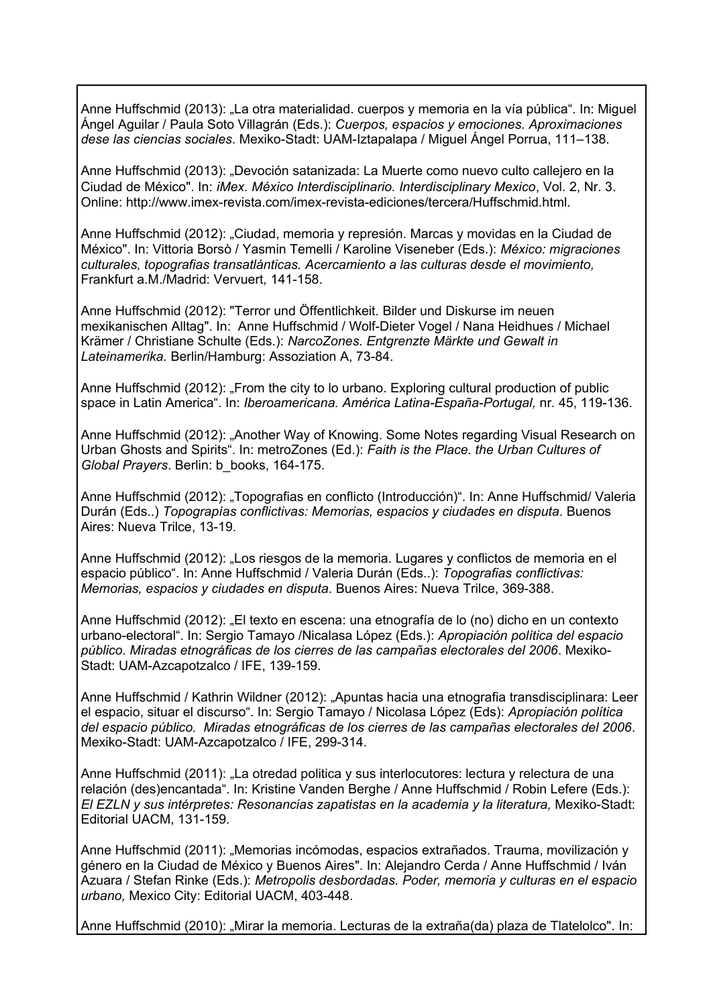Anne Huffschmid (2013): "La otra materialidad. cuerpos y memoria en la vía pública". In: Miguel Ángel Aguilar / Paula Soto Villagrán (Eds.): *Cuerpos, espacios y emociones. Aproximaciones dese las ciencias sociales*. Mexiko-Stadt: UAM-Iztapalapa / Miguel Ángel Porrua, 111–138.

Anne Huffschmid (2013): "Devoción satanizada: La Muerte como nuevo culto callejero en la Ciudad de México". In: *iMex. México Interdisciplinario. Interdisciplinary Mexico*, Vol. 2, Nr. 3. Online: http://www.imex-revista.com/imex-revista-ediciones/tercera/Huffschmid.html.

Anne Huffschmid (2012): "Ciudad, memoria y represión. Marcas y movidas en la Ciudad de México". In: Vittoria Borsò / Yasmin Temelli / Karoline Viseneber (Eds.): *México: migraciones culturales, topografias transatlánticas. Acercamiento a las culturas desde el movimiento,*  Frankfurt a.M./Madrid: Vervuert*,* 141-158.

Anne Huffschmid (2012): "Terror und Öffentlichkeit. Bilder und Diskurse im neuen mexikanischen Alltag". In: Anne Huffschmid / Wolf-Dieter Vogel / Nana Heidhues / Michael Krämer / Christiane Schulte (Eds.): *NarcoZones. Entgrenzte Märkte und Gewalt in Lateinamerika.* Berlin/Hamburg: Assoziation A, 73-84.

Anne Huffschmid (2012): "From the city to lo urbano. Exploring cultural production of public space in Latin America". In: *Iberoamericana. América Latina-España-Portugal,* nr. 45, 119-136.

Anne Huffschmid (2012): "Another Way of Knowing. Some Notes regarding Visual Research on Urban Ghosts and Spirits". In: metroZones (Ed.): *Faith is the Place. the Urban Cultures of Global Prayers*. Berlin: b\_books, 164-175.

Anne Huffschmid (2012): "Topografias en conflicto (Introducción)". In: Anne Huffschmid/ Valeria Durán (Eds..) *Topograpías conflictivas: Memorias, espacios y ciudades en disputa*. Buenos Aires: Nueva Trilce, 13-19.

Anne Huffschmid (2012): "Los riesgos de la memoria. Lugares y conflictos de memoria en el espacio público". In: Anne Huffschmid / Valeria Durán (Eds..): *Topografias conflictivas: Memorias, espacios y ciudades en disputa*. Buenos Aires: Nueva Trilce, 369-388.

Anne Huffschmid (2012): "El texto en escena: una etnografía de lo (no) dicho en un contexto urbano-electoral". In: Sergio Tamayo /Nicalasa López (Eds.): *Apropiación política del espacio público. Miradas etnográficas de los cierres de las campañas electorales del 2006*. Mexiko-Stadt: UAM-Azcapotzalco / IFE, 139-159.

Anne Huffschmid / Kathrin Wildner (2012): "Apuntas hacia una etnografia transdisciplinara: Leer el espacio, situar el discurso". In: Sergio Tamayo / Nicolasa López (Eds): *Apropiación política del espacio público. Miradas etnográficas de los cierres de las campañas electorales del 2006*. Mexiko-Stadt: UAM-Azcapotzalco / IFE, 299-314.

Anne Huffschmid (2011): "La otredad politica y sus interlocutores: lectura y relectura de una relación (des)encantada". In: Kristine Vanden Berghe / Anne Huffschmid / Robin Lefere (Eds.): *El EZLN y sus intérpretes: Resonancias zapatistas en la academia y la literatura,* Mexiko-Stadt: Editorial UACM, 131-159.

Anne Huffschmid (2011): "Memorias incómodas, espacios extrañados. Trauma, movilización y género en la Ciudad de México y Buenos Aires". In: Alejandro Cerda / Anne Huffschmid / Iván Azuara / Stefan Rinke (Eds.): *Metropolis desbordadas. Poder, memoria y culturas en el espacio urbano,* Mexico City: Editorial UACM, 403-448.

Anne Huffschmid (2010): "Mirar la memoria. Lecturas de la extraña(da) plaza de Tlatelolco". In: